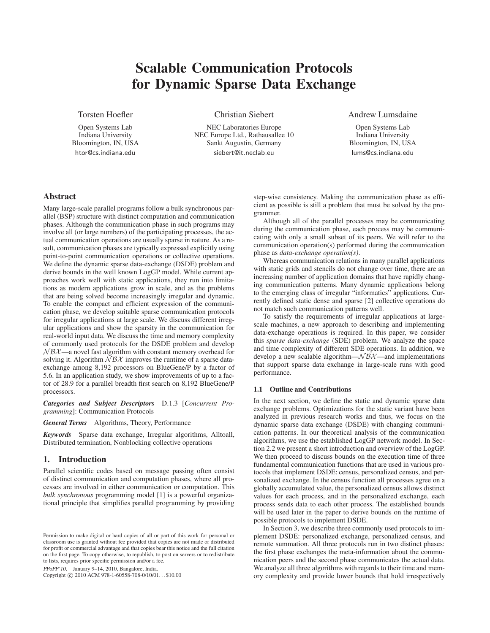# **Scalable Communication Protocols for Dynamic Sparse Data Exchange**

Torsten Hoefler

Open Systems Lab Indiana University Bloomington, IN, USA htor@cs.indiana.edu

Christian Siebert

NEC Laboratories Europe NEC Europe Ltd., Rathausallee 10 Sankt Augustin, Germany siebert@it.neclab.eu

# Andrew Lumsdaine

Open Systems Lab Indiana University Bloomington, IN, USA lums@cs.indiana.edu

# **Abstract**

Many large-scale parallel programs follow a bulk synchronous parallel (BSP) structure with distinct computation and communication phases. Although the communication phase in such programs may involve all (or large numbers) of the participating processes, the actual communication operations are usually sparse in nature. As a result, communication phases are typically expressed explicitly using point-to-point communication operations or collective operations. We define the dynamic sparse data-exchange (DSDE) problem and derive bounds in the well known LogGP model. While current approaches work well with static applications, they run into limitations as modern applications grow in scale, and as the problems that are being solved become increasingly irregular and dynamic. To enable the compact and efficient expression of the communication phase, we develop suitable sparse communication protocols for irregular applications at large scale. We discuss different irregular applications and show the sparsity in the communication for real-world input data. We discuss the time and memory complexity of commonly used protocols for the DSDE problem and develop  $N\beta\chi$ —a novel fast algorithm with constant memory overhead for solving it. Algorithm  $\mathcal{N}\mathcal{B}\mathcal{X}$  improves the runtime of a sparse dataexchange among 8,192 processors on BlueGene/P by a factor of 5.6. In an application study, we show improvements of up to a factor of 28.9 for a parallel breadth first search on 8,192 BlueGene/P processors.

*Categories and Subject Descriptors* D.1.3 [*Concurrent Programming*]: Communication Protocols

*General Terms* Algorithms, Theory, Performance

*Keywords* Sparse data exchange, Irregular algorithms, Alltoall, Distributed termination, Nonblocking collective operations

# **1. Introduction**

Parallel scientific codes based on message passing often consist of distinct communication and computation phases, where all processes are involved in either communication or computation. This *bulk synchronous* programming model [1] is a powerful organizational principle that simplifies parallel programming by providing

PPoPP'10, January 9–14, 2010, Bangalore, India.

Copyright © 2010 ACM 978-1-60558-708-0/10/01... \$10.00

step-wise consistency. Making the communication phase as efficient as possible is still a problem that must be solved by the programmer.

Although all of the parallel processes may be communicating during the communication phase, each process may be communicating with only a small subset of its peers. We will refer to the communication operation(s) performed during the communication phase as *data-exchange operation(s)*.

Whereas communication relations in many parallel applications with static grids and stencils do not change over time, there are an increasing number of application domains that have rapidly changing communication patterns. Many dynamic applications belong to the emerging class of irregular "informatics" applications. Currently defined static dense and sparse [2] collective operations do not match such communication patterns well.

To satisfy the requirements of irregular applications at largescale machines, a new approach to describing and implementing data-exchange operations is required. In this paper, we consider this *sparse data-exchange* (SDE) problem. We analyze the space and time complexity of different SDE operations. In addition, we develop a new scalable algorithm— $N\overline{B}X$ —and implementations that support sparse data exchange in large-scale runs with good performance.

#### **1.1 Outline and Contributions**

In the next section, we define the static and dynamic sparse data exchange problems. Optimizations for the static variant have been analyzed in previous research works and thus, we focus on the dynamic sparse data exchange (DSDE) with changing communication patterns. In our theoretical analysis of the communication algorithms, we use the established LogGP network model. In Section 2.2 we present a short introduction and overview of the LogGP. We then proceed to discuss bounds on the execution time of three fundamental communication functions that are used in various protocols that implement DSDE: census, personalized census, and personalized exchange. In the census function all processes agree on a globally accumulated value, the personalized census allows distinct values for each process, and in the personalized exchange, each process sends data to each other process. The established bounds will be used later in the paper to derive bounds on the runtime of possible protocols to implement DSDE.

In Section 3, we describe three commonly used protocols to implement DSDE: personalized exchange, personalized census, and remote summation. All three protocols run in two distinct phases: the first phase exchanges the meta-information about the communication peers and the second phase communicates the actual data. We analyze all three algorithms with regards to their time and memory complexity and provide lower bounds that hold irrespectively

Permission to make digital or hard copies of all or part of this work for personal or classroom use is granted without fee provided that copies are not made or distributed for profit or commercial advantage and that copies bear this notice and the full citation on the first page. To copy otherwise, to republish, to post on servers or to redistribute to lists, requires prior specific permission and/or a fee.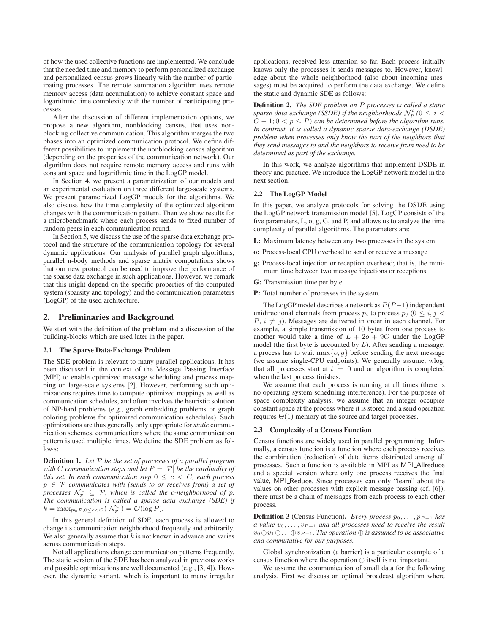of how the used collective functions are implemented. We conclude that the needed time and memory to perform personalized exchange and personalized census grows linearly with the number of participating processes. The remote summation algorithm uses remote memory access (data accumulation) to achieve constant space and logarithmic time complexity with the number of participating processes.

After the discussion of different implementation options, we propose a new algorithm, nonblocking census, that uses nonblocking collective communication. This algorithm merges the two phases into an optimized communication protocol. We define different possibilities to implement the nonblocking census algorithm (depending on the properties of the communication network). Our algorithm does not require remote memory access and runs with constant space and logarithmic time in the LogGP model.

In Section 4, we present a parametrization of our models and an experimental evaluation on three different large-scale systems. We present parametrized LogGP models for the algorithms. We also discuss how the time complexity of the optimized algorithm changes with the communication pattern. Then we show results for a microbenchmark where each process sends to fixed number of random peers in each communication round.

In Section 5, we discuss the use of the sparse data exchange protocol and the structure of the communication topology for several dynamic applications. Our analysis of parallel graph algorithms, parallel n-body methods and sparse matrix computations shows that our new protocol can be used to improve the performance of the sparse data exchange in such applications. However, we remark that this might depend on the specific properties of the computed system (sparsity and topology) and the communication parameters (LogGP) of the used architecture.

## **2. Preliminaries and Background**

We start with the definition of the problem and a discussion of the building-blocks which are used later in the paper.

## **2.1 The Sparse Data-Exchange Problem**

The SDE problem is relevant to many parallel applications. It has been discussed in the context of the Message Passing Interface (MPI) to enable optimized message scheduling and process mapping on large-scale systems [2]. However, performing such optimizations requires time to compute optimized mappings as well as communication schedules, and often involves the heuristic solution of NP-hard problems (e.g., graph embedding problems or graph coloring problems for optimized communication schedules). Such optimizations are thus generally only appropriate for *static* communication schemes, communications where the same communication pattern is used multiple times. We define the SDE problem as follows:

**Definition 1.** *Let* P *be the set of processes of a parallel program with* C communication steps and let  $P = |\mathcal{P}|$  be the cardinality of *this set. In each communication step*  $0 \leq c < C$ *, each process* p ∈ P *communicates with (sends to or receives from) a set of processes*  $\mathcal{N}_p^c \subseteq \mathcal{P}$ , which is called the c-neighborhood of p. *The communication is called a sparse data exchange (SDE) if*  $k = \max_{p \in \mathcal{P}, 0 \leq c < C} (|\mathcal{N}_p^c|) = \mathcal{O}(\log P).$ 

In this general definition of SDE, each process is allowed to change its communication neighborhood frequently and arbitrarily. We also generally assume that  $k$  is not known in advance and varies across communication steps.

Not all applications change communication patterns frequently. The static version of the SDE has been analyzed in previous works and possible optimizations are well documented (e.g., [3, 4]). However, the dynamic variant, which is important to many irregular

applications, received less attention so far. Each process initially knows only the processes it sends messages to. However, knowledge about the whole neighborhood (also about incoming messages) must be acquired to perform the data exchange. We define the static and dynamic SDE as follows:

**Definition 2.** *The SDE problem on* P *processes is called a static* sparse data exchange (SSDE) if the neighborhoods  $\mathcal{N}_p^i$  ( $0 \leq i <$  $C - 1$ ;  $0 < p \le P$ ) *can be determined before the algorithm runs. In contrast, it is called a dynamic sparse data-exchange (DSDE) problem when processes only know the part of the neighbors that they send messages to and the neighbors to receive from need to be determined as part of the exchange.*

In this work, we analyze algorithms that implement DSDE in theory and practice. We introduce the LogGP network model in the next section.

## **2.2 The LogGP Model**

In this paper, we analyze protocols for solving the DSDE using the LogGP network transmission model [5]. LogGP consists of the five parameters, L, o, g, G, and P, and allows us to analyze the time complexity of parallel algorithms. The parameters are:

- **L:** Maximum latency between any two processes in the system
- **o:** Process-local CPU overhead to send or receive a message
- **g:** Process-local injection or reception overhead; that is, the minimum time between two message injections or receptions
- **G:** Transmission time per byte
- **P:** Total number of processes in the system.

The LogGP model describes a network as  $P(P-1)$  independent unidirectional channels from process  $p_i$  to process  $p_j$  ( $0 \le i, j <$  $P, i \neq j$ ). Messages are delivered in order in each channel. For example, a simple transmission of 10 bytes from one process to another would take a time of  $L + 2o + 9G$  under the LogGP model (the first byte is accounted by  $L$ ). After sending a message, a process has to wait  $\max\{o, g\}$  before sending the next message (we assume single-CPU endpoints). We generally assume, wlog, that all processes start at  $t = 0$  and an algorithm is completed when the last process finishes.

We assume that each process is running at all times (there is no operating system scheduling interference). For the purposes of space complexity analysis, we assume that an integer occupies constant space at the process where it is stored and a send operation requires  $\Theta(1)$  memory at the source and target processes.

#### **2.3 Complexity of a Census Function**

Census functions are widely used in parallel programming. Informally, a census function is a function where each process receives the combination (reduction) of data items distributed among all processes. Such a function is available in MPI as MPI Allreduce and a special version where only one process receives the final value, MPI Reduce. Since processes can only "learn" about the values on other processes with explicit message passing (cf. [6]), there must be a chain of messages from each process to each other process.

**Definition 3** (Census Function). *Every process*  $p_0, \ldots, p_{P-1}$  *has a value*  $v_0, \ldots, v_{P-1}$  *and all processes need to receive the result* v0⊕v1⊕. . .⊕v<sup>P</sup> <sup>−</sup><sup>1</sup>*. The operation* ⊕ *is assumed to be associative and commutative for our purposes.*

Global synchronization (a barrier) is a particular example of a census function where the operation ⊕ itself is not important.

We assume the communication of small data for the following analysis. First we discuss an optimal broadcast algorithm where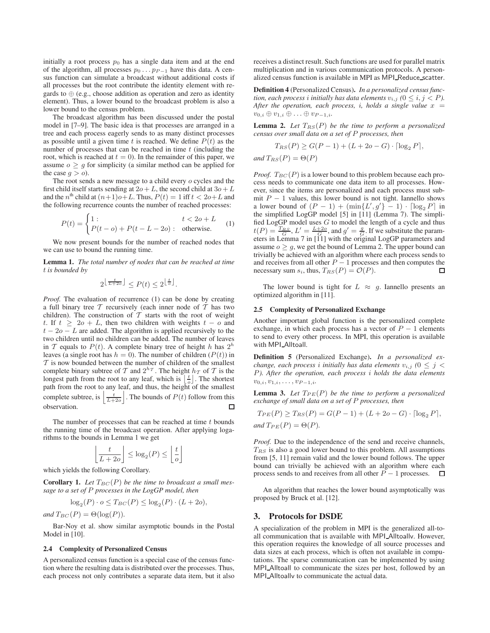initially a root process  $p_0$  has a single data item and at the end of the algorithm, all processes  $p_0 \dots p_{P-1}$  have this data. A census function can simulate a broadcast without additional costs if all processes but the root contribute the identity element with regards to  $\oplus$  (e.g., choose addition as operation and zero as identity element). Thus, a lower bound to the broadcast problem is also a lower bound to the census problem.

The broadcast algorithm has been discussed under the postal model in [7–9]. The basic idea is that processes are arranged in a tree and each process eagerly sends to as many distinct processes as possible until a given time t is reached. We define  $P(t)$  as the number of processes that can be reached in time  $t$  (including the root, which is reached at  $t = 0$ ). In the remainder of this paper, we assume  $o \geq g$  for simplicity (a similar method can be applied for the case  $q > 0$ .

The root sends a new message to a child every o cycles and the first child itself starts sending at  $2o+L$ , the second child at  $3o+L$ and the  $n^{\text{th}}$  child at  $(n+1)o+L$ . Thus,  $P(t) = 1$  iff  $t < 2o+L$  and the following recurrence counts the number of reached processes:

$$
P(t) = \begin{cases} 1: & t < 2o + L \\ P(t - o) + P(t - L - 2o) : & \text{otherwise.} \end{cases}
$$
 (1)

We now present bounds for the number of reached nodes that we can use to bound the running time.

**Lemma 1.** *The total number of nodes that can be reached at time* t *is bounded by*

$$
2^{\left\lfloor \frac{t}{L+2o} \right\rfloor} \le P(t) \le 2^{\left\lfloor \frac{t}{o} \right\rfloor}.
$$

*Proof.* The evaluation of recurrence (1) can be done by creating a full binary tree  $T$  recursively (each inner node of  $T$  has two children). The construction of  $T$  starts with the root of weight t. If  $t \geq 2o + L$ , then two children with weights  $t - o$  and  $t - 2o - L$  are added. The algorithm is applied recursively to the two children until no children can be added. The number of leaves in T equals to  $P(t)$ . A complete binary tree of height h has  $2^h$ leaves (a single root has  $h = 0$ ). The number of children ( $P(t)$ ) in  $T$  is now bounded between the number of children of the smallest complete binary subtree of T and  $2^{h_T}$ . The height  $h_T$  of T is the longest path from the root to any leaf, which is  $\left\lfloor \frac{t}{\rho} \right\rfloor$ . The shortest path from the root to any leaf, and thus, the height of the smallest complete subtree, is  $\left| \frac{t}{L+2o} \right|$ . The bounds of  $P(t)$  follow from this observation.  $\Box$ 

The number of processes that can be reached at time  $t$  bounds the running time of the broadcast operation. After applying logarithms to the bounds in Lemma 1 we get

$$
\left\lfloor \frac{t}{L+2o} \right\rfloor \le \log_2(P) \le \left\lfloor \frac{t}{o} \right\rfloor
$$

 $\overline{1}$ 

which yields the following Corollary.

**Corollary 1.** Let  $T_{BC}(P)$  be the time to broadcast a small mes*sage to a set of* P *processes in the LogGP model, then*

$$
\log_2(P) \cdot o \le T_{BC}(P) \le \log_2(P) \cdot (L + 2o),
$$

*and*  $T_{BC}(P) = \Theta(\log(P)).$ 

Bar-Noy et al. show similar asymptotic bounds in the Postal Model in [10].

## **2.4 Complexity of Personalized Census**

A personalized census function is a special case of the census function where the resulting data is distributed over the processes. Thus, each process not only contributes a separate data item, but it also receives a distinct result. Such functions are used for parallel matrix multiplication and in various communication protocols. A personalized census function is available in MPI as MPI Reduce scatter.

**Definition 4** (Personalized Census)**.** *In a personalized census function, each process i initially has data elements*  $v_{i,j}$  ( $0 \le i, j < P$ ). After the operation, each process, *i*, holds a single value  $x =$  $v_{0,i} \oplus v_{1,i} \oplus \ldots \oplus v_{P-1,i}$ .

**Lemma 2.** Let  $T_{RS}(P)$  be the time to perform a personalized *census over small data on a set of* P *processes, then*

$$
T_{RS}(P) \ge G(P-1) + (L + 2o - G) \cdot \lceil \log_2 P \rceil,
$$

*and*  $T_{RS}(P) = \Theta(P)$ 

*Proof.*  $T_{BC}(P)$  is a lower bound to this problem because each process needs to communicate one data item to all processes. However, since the items are personalized and each process must submit  $P - 1$  values, this lower bound is not tight. Iannello shows a lower bound of  $(P - 1) + (\min\{L', g'\} - 1) \cdot \lceil \log_2 P \rceil$  in the simplified LogGP model [5] in [11] (Lemma 7). The simplified  $\text{LogGP}$  model uses G to model the length of a cycle and thus  $t(P) = \frac{T_{RS}}{G}, L' = \frac{L+2o}{G}$ , and  $g' = \frac{g}{G}$ . If we substitute the parameters in Lemma 7 in [11] with the original LogGP parameters and assume  $o \geq g$ , we get the bound of Lemma 2. The upper bound can trivially be achieved with an algorithm where each process sends to and receives from all other  $P - 1$  processes and then computes the necessary sum  $s_i$ , thus,  $T_{RS}(P) = \mathcal{O}(P)$ .  $\Box$ 

The lower bound is tight for  $L \approx g$ . Iannello presents an optimized algorithm in [11].

#### **2.5 Complexity of Personalized Exchange**

Another important global function is the personalized complete exchange, in which each process has a vector of  $P - 1$  elements to send to every other process. In MPI, this operation is available with MPI Alltoall.

**Definition 5** (Personalized Exchange)**.** *In a personalized exchange, each process i initially has data elements*  $v_{i,j}$  ( $0 \leq j <$ P*). After the operation, each process* i *holds the data elements*  $v_{0,i}, v_{1,i}, \ldots, v_{P-1,i}.$ 

**Lemma 3.** Let  $T_{PE}(P)$  be the time to perform a personalized *exchange of small data on a set of* P *processes, then*

$$
T_{PE}(P) \ge T_{RS}(P) = G(P-1) + (L+2o-G) \cdot \lceil \log_2 P \rceil,
$$
  
and 
$$
T_{PE}(P) = \Theta(P).
$$

*Proof.* Due to the independence of the send and receive channels,  $T_{RS}$  is also a good lower bound to this problem. All assumptions from [5, 11] remain valid and the lower bound follows. The upper bound can trivially be achieved with an algorithm where each process sends to and receives from all other  $P - 1$  processes.  $□$ 

An algorithm that reaches the lower bound asymptotically was proposed by Bruck et al. [12].

#### **3. Protocols for DSDE**

A specialization of the problem in MPI is the generalized all-toall communication that is available with MPI Alltoallv. However, this operation requires the knowledge of all source processes and data sizes at each process, which is often not available in computations. The sparse communication can be implemented by using MPI Alltoall to communicate the sizes per host, followed by an MPI\_Alltoally to communicate the actual data.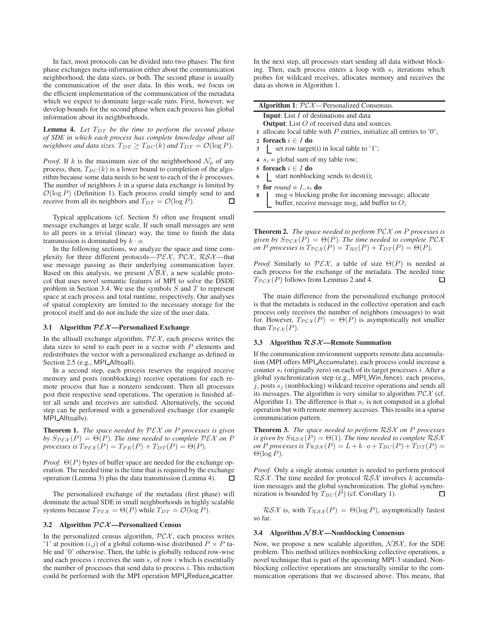In fact, most protocols can be divided into two phases: The first phase exchanges meta-information either about the communication neighborhood, the data sizes, or both. The second phase is usually the communication of the user data. In this work, we focus on the efficient implementation of the communication of the metadata which we expect to dominate large-scale runs. First, however, we develop bounds for the second phase when each process has global information about its neighborhoods.

**Lemma 4.** Let  $T_{DT}$  be the time to perform the second phase *of SDE in which each process has complete knowledge about all neighbors and data sizes.*  $T_{DT} \geq T_{BC}(k)$  *and*  $T_{DT} = \mathcal{O}(\log P)$ *.* 

*Proof.* If k is the maximum size of the neighborhood  $\mathcal{N}_p$  of any process, then,  $T_{BC}(k)$  is a lower bound to completion of the algorithm because some data needs to be sent to each of the k processes. The number of neighbors  $k$  in a sparse data exchange is limited by  $\mathcal{O}(\log P)$  (Definition 1). Each process could simply send to and receive from all its neighbors and  $T_{DT} = \mathcal{O}(\log P)$ . □

Typical applications (cf. Section 5) often use frequent small message exchanges at large scale. If such small messages are sent to all peers in a trivial (linear) way, the time to finish the data transmission is dominated by  $k \cdot o$ .

In the following sections, we analyze the space and time complexity for three different protocols— $P\mathcal{EX}$ ,  $P\mathcal{C}\mathcal{X}$ ,  $R\mathcal{S}\mathcal{X}$ —that use message passing as their underlying communication layer. Based on this analysis, we present  $\overline{\mathcal{N}} \overline{\mathcal{B}} \overline{\mathcal{X}}$ , a new scalable protocol that uses novel semantic features of MPI to solve the DSDE problem in Section 3.4. We use the symbols  $S$  and  $T$  to represent space at each process and total runtime, respectively. Our analyses of spatial complexity are limited to the necessary storage for the protocol itself and do not include the size of the user data.

#### **3.1 Algorithm** PEX **—Personalized Exchange**

In the alltoall exchange algorithm,  $P\mathcal{E}\mathcal{X}$ , each process writes the data sizes to send to each peer in a vector with  $P$  elements and redistributes the vector with a personalized exchange as defined in Section 2.5 (e.g., MPI\_Alltoall).

In a second step, each process reserves the required receive memory and posts (nonblocking) receive operations for each remote process that has a nonzero sendcount. Then all processes post their respective send operations. The operation is finished after all sends and receives are satisfied. Alternatively, the second step can be performed with a generalized exchange (for example MPI\_Alltoallv).

**Theorem 1.** *The space needed by* PEX *on* P *processes is given by*  $S_{P\mathcal{EX}}(P) = \Theta(P)$ *. The time needed to complete*  $P\mathcal{EX}$  *on* P *processes is*  $T_{\mathcal{P}\mathcal{E}\mathcal{X}}(P) = T_{PE}(P) + T_{DT}(P) = \Theta(P)$ *.* 

*Proof.*  $\Theta(P)$  bytes of buffer space are needed for the exchange operation. The needed time is the time that is required by the exchange operation (Lemma 3) plus the data transmission (Lemma 4). П

The personalized exchange of the metadata (first phase) will dominate the actual SDE in small neighborhoods in highly scalable systems because  $T_{\mathcal{P}\mathcal{E}\mathcal{X}} = \Theta(P)$  while  $T_{DT} = \mathcal{O}(\log P)$ .

#### **3.2 Algorithm** PCX **—Personalized Census**

In the personalized census algorithm,  $P\mathcal{C}\mathcal{X}$ , each process writes '1' at position  $(i,j)$  of a global column-wise distributed  $P \times P$  table and '0' otherwise. Then, the table is globally reduced row-wise and each process i receives the sum  $s_i$  of row i which is essentially the number of processes that send data to process  $i$ . This reduction could be performed with the MPI operation MPI\_Reduce\_scatter.

In the next step, all processes start sending all data without blocking. Then, each process enters a loop with  $s_i$  iterations which probes for wildcard receives, allocates memory and receives the data as shown in Algorithm 1.

| <b>Algorithm 1:</b> $\mathcal{PCX}$ —Personalized Consensus.                                                |  |  |
|-------------------------------------------------------------------------------------------------------------|--|--|
| <b>Input:</b> List I of destinations and data                                                               |  |  |
| <b>Output:</b> List $O$ of received data and sources                                                        |  |  |
| 1 allocate local table with $P$ entries, initialize all entries to '0';                                     |  |  |
| 2 foreach $i \in I$ do                                                                                      |  |  |
| 3   set row target(i) in local table to '1';                                                                |  |  |
| 4 $s_i$ = global sum of my table row;                                                                       |  |  |
| 5 foreach $i \in I$ do                                                                                      |  |  |
| 6   start nonblocking sends to dest(i);                                                                     |  |  |
| 7 for round = $ls_i$ do                                                                                     |  |  |
| $msg = blocking$ probe for incoming message; allocate buffer, receive message msg, add buffer to $O$ ;<br>8 |  |  |
|                                                                                                             |  |  |

**Theorem 2.** *The space needed to perform* PCX *on* P *processes is given by*  $S_{PCX}(P) = \Theta(P)$ *. The time needed to complete*  $PCX$ *on P processes is*  $T_{\mathcal{P} \mathcal{C} \mathcal{X}}(P) = T_{RS}(P) + T_{DT}(P) = \Theta(P)$ *.* 

*Proof.* Similarly to  $P\mathcal{E}\mathcal{X}$ , a table of size  $\Theta(P)$  is needed at each process for the exchange of the metadata. The needed time  $T_{\mathcal{PCX}}(P)$  follows from Lemmas 2 and 4. П

The main difference from the personalized exchange protocol is that the metadata is reduced in the collective operation and each process only receives the number of neighbors (messages) to wait for. However,  $T_{\mathcal{P} \mathcal{C} \mathcal{X}}(P) = \Theta(P)$  is asymptotically not smaller than  $T_{\mathcal{P}\mathcal{E}\mathcal{X}}(P)$ .

## **3.3 Algorithm** RSX**—Remote Summation**

If the communication environment supports remote data accumulation (MPI offers MPI Accumulate), each process could increase a counter  $s_i$  (originally zero) on each of its target processes  $i$ . After a global synchronization step (e.g., MPI Win fence), each process,  $j$ , posts  $s_j$  (nonblocking) wildcard receive operations and sends all its messages. The algorithm is very similar to algorithm  $PCX$  (cf. Algorithm 1). The difference is that  $s_i$  is not computed in a global operation but with remote memory accesses. This results in a sparse communication pattern.

**Theorem 3.** *The space needed to perform* RSX *on* P *processes is given by*  $S_{\mathcal{RSX}}(P) = \Theta(1)$ *. The time needed to complete*  $\mathcal{RSX}$ *on P processes is*  $T_{\mathcal{RSX}}(P) = L + k \cdot o + T_{BC}(P) + T_{DT}(P) =$ Θ(log P)*.*

*Proof.* Only a single atomic counter is needed to perform protocol  $RSX$ . The time needed for protocol  $RSX$  involves k accumulation messages and the global synchronization. The global synchronization is bounded by  $T_{BC}(P)$  (cf. Corollary 1).  $\Box$ 

 $RSX$  is, with  $T_{RSX}(P) = \Theta(\log P)$ , asymptotically fastest so far.

#### **3.4 Algorithm** N BX **—Nonblocking Consensus**

Now, we propose a new scalable algorithm,  $N\mathcal{B}\mathcal{X}$ , for the SDE problem. This method utilizes nonblocking collective operations, a novel technique that is part of the upcoming MPI-3 standard. Nonblocking collective operations are structurally similar to the communication operations that we discussed above. This means, that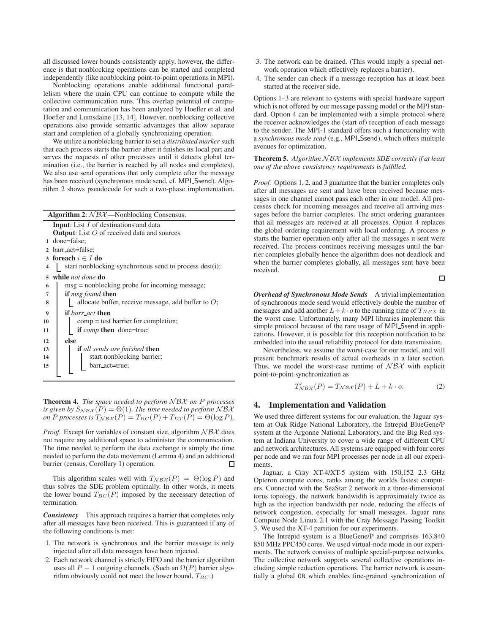all discussed lower bounds consistently apply, however, the difference is that nonblocking operations can be started and completed independently (like nonblocking point-to-point operations in MPI).

Nonblocking operations enable additional functional parallelism where the main CPU can continue to compute while the collective communication runs. This overlap potential of computation and communication has been analyzed by Hoefler et al. and Hoefler and Lumsdaine [13, 14]. However, nonblocking collective operations also provide semantic advantages that allow separate start and completion of a globally synchronizing operation.

We utilize a nonblocking barrier to set a *distributed marker* such that each process starts the barrier after it finishes its local part and serves the requests of other processes until it detects global termination (i.e., the barrier is reached by all nodes and completes). We also use send operations that only complete after the message has been received (synchronous mode send, cf. MPI\_Ssend). Algorithm 2 shows pseudocode for such a two-phase implementation.

|                | <b>Algorithm 2:</b> $NBA$ —Nonblocking Consensus.      |
|----------------|--------------------------------------------------------|
|                | <b>Input:</b> List $I$ of destinations and data        |
|                | <b>Output:</b> List $O$ of received data and sources   |
|                | 1 done=false:                                          |
| $\mathbf{2}$   | barr_act=false;                                        |
| 3              | foreach $i \in I$ do                                   |
| 4              | start nonblocking synchronous send to process dest(i); |
| 5              | while <i>not done</i> do                               |
| 6              | $msg =$ nonblocking probe for incoming message;        |
| $\overline{7}$ | if <i>msg found</i> then                               |
| 8              | allocate buffer, receive message, add buffer to $O$ ;  |
| 9              | <b>if</b> barr act <b>then</b>                         |
| 10             | $comp = test barrier for completion;$                  |
| 11             | if <i>comp</i> then done=true;                         |
| 12             | else                                                   |
| 13             | <b>if</b> all sends are finished <b>then</b>           |
| 14             | start nonblocking barrier;                             |
| 15             | barr_act=true;                                         |
|                |                                                        |

**Theorem 4.** *The space needed to perform* N BX *on* P *processes is given by*  $S_{\mathcal{NBA}}(P) = \Theta(1)$ *. The time needed to perform*  $\mathcal{NBA}$ *on P processes is*  $T_{\mathcal{N} \mathcal{B} \mathcal{X}}(P) = T_{BC}(P) + T_{DT}(P) = \Theta(\log P)$ *.* 

*Proof.* Except for variables of constant size, algorithm  $N\beta\chi$  does not require any additional space to administer the communication. The time needed to perform the data exchange is simply the time needed to perform the data movement (Lemma 4) and an additional barrier (census, Corollary 1) operation. П

This algorithm scales well with  $T_{\mathcal{NBA}}(P) = \Theta(\log P)$  and thus solves the SDE problem optimally. In other words, it meets the lower bound  $T_{BC}(P)$  imposed by the necessary detection of termination.

*Consistency* This approach requires a barrier that completes only after all messages have been received. This is guaranteed if any of the following conditions is met:

- 1. The network is synchronous and the barrier message is only injected after all data messages have been injected.
- 2. Each network channel is strictly FIFO and the barrier algorithm uses all  $P - 1$  outgoing channels. (Such an  $\Omega(P)$  barrier algorithm obviously could not meet the lower bound,  $T_{BC}$ .)
- 3. The network can be drained. (This would imply a special network operation which effectively replaces a barrier).
- 4. The sender can check if a message reception has at least been started at the receiver side.

Options 1–3 are relevant to systems with special hardware support which is not offered by our message passing model or the MPI standard. Option 4 can be implemented with a simple protocol where the receiver acknowledges the (start of) reception of each message to the sender. The MPI-1 standard offers such a functionality with a *synchronous mode send* (e.g., MPI Ssend), which offers multiple avenues for optimization.

**Theorem 5.** *Algorithm* N BX *implements SDE correctly if at least one of the above consistency requirements is fulfilled.*

*Proof.* Options 1, 2, and 3 guarantee that the barrier completes only after all messages are sent and have been received because messages in one channel cannot pass each other in our model. All processes check for incoming messages and receive all arriving messages before the barrier completes. The strict ordering guarantees that all messages are received at all processes. Option 4 replaces the global ordering requirement with local ordering. A process  $p$ starts the barrier operation only after all the messages it sent were received. The process continues receiving messages until the barrier completes globally hence the algorithm does not deadlock and when the barrier completes globally, all messages sent have been received.

 $\Box$ 

*Overhead of Synchronous Mode Sends* A trivial implementation of synchronous mode send would effectively double the number of messages and add another  $L+k \cdot o$  to the running time of  $T_{NBX}$  in the worst case. Unfortunately, many MPI libraries implement this simple protocol because of the rare usage of MPI\_Ssend in applications. However, it is possible for this reception notification to be embedded into the usual reliability protocol for data transmission.

Nevertheless, we assume the worst-case for our model, and will present benchmark results of actual overheads in a later section. Thus, we model the worst-case runtime of  $\mathcal{N} \mathcal{B} \mathcal{X}$  with explicit point-to-point synchronization as

$$
T'_{\mathcal{N}\mathcal{B}\mathcal{X}}(P) = T_{\mathcal{N}\mathcal{B}\mathcal{X}}(P) + L + k \cdot o. \tag{2}
$$

## **4. Implementation and Validation**

We used three different systems for our evaluation, the Jaguar system at Oak Ridge National Laboratory, the Intrepid BlueGene/P system at the Argonne National Laboratory, and the Big Red system at Indiana University to cover a wide range of different CPU and network architectures. All systems are equipped with four cores per node and we ran four MPI processes per node in all our experiments.

Jaguar, a Cray XT-4/XT-5 system with 150,152 2.3 GHz Opteron compute cores, ranks among the worlds fastest computers. Connected with the SeaStar 2 network in a three-dimensional torus topology, the network bandwidth is approximately twice as high as the injection bandwidth per node, reducing the effects of network congestion, especially for small messages. Jaguar runs Compute Node Linux 2.1 with the Cray Message Passing Toolkit 3. We used the XT-4 partition for our experiments.

The Intrepid system is a BlueGene/P and comprises 163,840 850 MHz PPC450 cores. We used virtual-node mode in our experiments. The network consists of multiple special-purpose networks. The collective network supports several collective operations including simple reduction operations. The barrier network is essentially a global OR which enables fine-grained synchronization of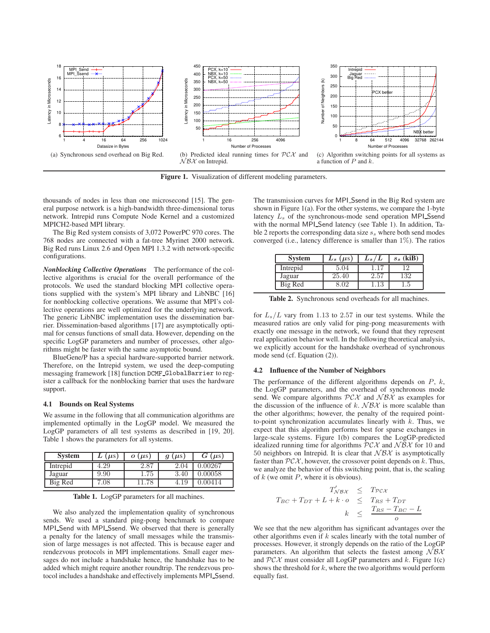

**Figure 1.** Visualization of different modeling parameters.

thousands of nodes in less than one microsecond [15]. The general purpose network is a high-bandwidth three-dimensional torus network. Intrepid runs Compute Node Kernel and a customized MPICH2-based MPI library.

The Big Red system consists of 3,072 PowerPC 970 cores. The 768 nodes are connected with a fat-tree Myrinet 2000 network. Big Red runs Linux 2.6 and Open MPI 1.3.2 with network-specific configurations.

*Nonblocking Collective Operations* The performance of the collective algorithms is crucial for the overall performance of the protocols. We used the standard blocking MPI collective operations supplied with the system's MPI library and LibNBC [16] for nonblocking collective operations. We assume that MPI's collective operations are well optimized for the underlying network. The generic LibNBC implementation uses the dissemination barrier. Dissemination-based algorithms [17] are asymptotically optimal for census functions of small data. However, depending on the specific LogGP parameters and number of processes, other algorithms might be faster with the same asymptotic bound.

BlueGene/P has a special hardware-supported barrier network. Therefore, on the Intrepid system, we used the deep-computing messaging framework [18] function DCMF GlobalBarrier to register a callback for the nonblocking barrier that uses the hardware support.

#### **4.1 Bounds on Real Systems**

We assume in the following that all communication algorithms are implemented optimally in the LogGP model. We measured the LogGP parameters of all test systems as described in [19, 20]. Table 1 shows the parameters for all systems.

| <b>System</b> | $(\mu s)$ | $\boldsymbol{\sigma}$ ( $\boldsymbol{\mu}$ s) | $(\mu s)$ | $(\mu s)$ |
|---------------|-----------|-----------------------------------------------|-----------|-----------|
| Intrepid      | 4.29      | 2.87                                          | 2.04      | 0.00267   |
| Jaguar        | 9.90      | $1.75\,$                                      | 3.40      | 0.00058   |
| Big Red       | 0.08      |                                               | 4.19      |           |

**Table 1.** LogGP parameters for all machines.

We also analyzed the implementation quality of synchronous sends. We used a standard ping-pong benchmark to compare MPI Send with MPI Ssend. We observed that there is generally a penalty for the latency of small messages while the transmission of large messages is not affected. This is because eager and rendezvous protocols in MPI implementations. Small eager messages do not include a handshake hence, the handshake has to be added which might require another roundtrip. The rendezvous protocol includes a handshake and effectively implements MPI Ssend. The transmission curves for MPI Ssend in the Big Red system are shown in Figure 1(a). For the other systems, we compare the 1-byte latency  $L<sub>s</sub>$  of the synchronous-mode send operation MPI\_Ssend with the normal MPI\_Send latency (see Table 1). In addition, Table 2 reports the corresponding data size  $s_s$  where both send modes converged (i.e., latency difference is smaller than  $1\%$ ). The ratios

| <b>System</b> | $L_s(\mu s)$ | $L_s/L$ | $s_s$ (kiB) |
|---------------|--------------|---------|-------------|
| Intrepid      | 5.04         |         |             |
| Jaguar        | 25.40        | 2.51    | .32         |
| Big Red       |              |         | . . 5       |

**Table 2.** Synchronous send overheads for all machines.

for  $L_s/L$  vary from 1.13 to 2.57 in our test systems. While the measured ratios are only valid for ping-pong measurements with exactly one message in the network, we found that they represent real application behavior well. In the following theoretical analysis, we explicitly account for the handshake overhead of synchronous mode send (cf. Equation (2)).

#### **4.2 Influence of the Number of Neighbors**

The performance of the different algorithms depends on  $P$ ,  $k$ , the LogGP parameters, and the overhead of synchronous mode send. We compare algorithms  $P\mathcal{C}\mathcal{X}$  and  $\mathcal{N}\mathcal{B}\mathcal{X}$  as examples for the discussion of the influence of k.  $\mathcal{N} \mathcal{B} \mathcal{X}$  is more scalable than the other algorithms; however, the penalty of the required pointto-point synchronization accumulates linearly with  $k$ . Thus, we expect that this algorithm performs best for sparse exchanges in large-scale systems. Figure 1(b) compares the LogGP-predicted idealized running time for algorithms  $P\mathcal{C}\mathcal{X}$  and  $\mathcal{N}\mathcal{B}\mathcal{X}$  for 10 and 50 neighbors on Intrepid. It is clear that  $N\beta\mathcal{X}$  is asymptotically faster than  $P\mathcal{C}\mathcal{X}$ , however, the crossover point depends on k. Thus, we analyze the behavior of this switching point, that is, the scaling of  $k$  (we omit  $P$ , where it is obvious).

$$
T'_{\mathcal{N} \mathcal{B} \mathcal{X}} \leq T_{\mathcal{PCX}} T_{BC} + T_{DT} + L + k \cdot o \leq T_{RS} + T_{DT} k \leq \frac{T_{RS} - T_{BC} - L}{o}
$$

We see that the new algorithm has significant advantages over the other algorithms even if  $k$  scales linearly with the total number of processes. However, it strongly depends on the ratio of the LogGP parameters. An algorithm that selects the fastest among  $N\beta\chi$ and  $P\mathcal{C}\mathcal{X}$  must consider all LogGP parameters and k. Figure 1(c) shows the threshold for  $k$ , where the two algorithms would perform equally fast.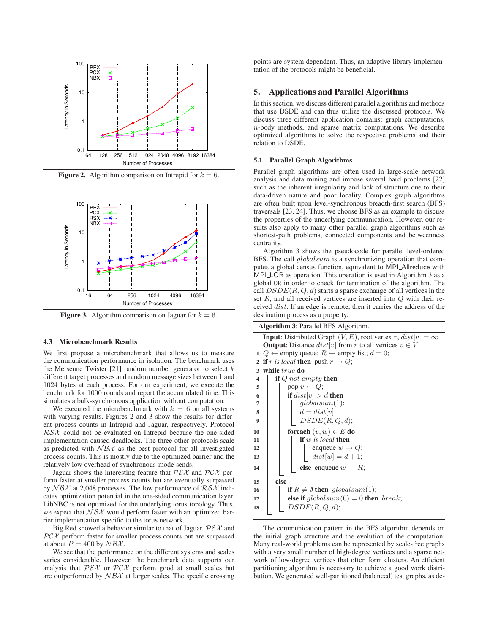

**Figure 2.** Algorithm comparison on Intrepid for  $k = 6$ .



**Figure 3.** Algorithm comparison on Jaguar for  $k = 6$ .

## **4.3 Microbenchmark Results**

We first propose a microbenchmark that allows us to measure the communication performance in isolation. The benchmark uses the Mersenne Twister  $[21]$  random number generator to select  $k$ different target processes and random message sizes between 1 and 1024 bytes at each process. For our experiment, we execute the benchmark for 1000 rounds and report the accumulated time. This simulates a bulk-synchronous application without computation.

We executed the microbenchmark with  $k = 6$  on all systems with varying results. Figures 2 and 3 show the results for different process counts in Intrepid and Jaguar, respectively. Protocol  $R\mathcal{S}\mathcal{X}$  could not be evaluated on Intrepid because the one-sided implementation caused deadlocks. The three other protocols scale as predicted with  $N\beta\lambda$  as the best protocol for all investigated process counts. This is mostly due to the optimized barrier and the relatively low overhead of synchronous-mode sends.

Jaguar shows the interesting feature that  $P\mathcal{E}\mathcal{X}$  and  $P\mathcal{C}\mathcal{X}$  perform faster at smaller process counts but are eventually surpassed by  $N\beta\lambda$  at 2,048 processes. The low performance of  $R\delta\lambda$  indicates optimization potential in the one-sided communication layer. LibNBC is not optimized for the underlying torus topology. Thus, we expect that  $N\beta\chi$  would perform faster with an optimized barrier implementation specific to the torus network.

Big Red showed a behavior similar to that of Jaguar.  $P\mathcal{E}\mathcal{X}$  and  $PCX$  perform faster for smaller process counts but are surpassed at about  $P = 400$  by  $\mathcal{N} \mathcal{B} \mathcal{X}$ .

We see that the performance on the different systems and scales varies considerable. However, the benchmark data supports our analysis that  $P\mathcal{E}\mathcal{X}$  or  $P\mathcal{C}\mathcal{X}$  perform good at small scales but are outperformed by  $\mathcal{N}\mathcal{B}\mathcal{X}$  at larger scales. The specific crossing

points are system dependent. Thus, an adaptive library implementation of the protocols might be beneficial.

## **5. Applications and Parallel Algorithms**

In this section, we discuss different parallel algorithms and methods that use DSDE and can thus utilize the discussed protocols. We discuss three different application domains: graph computations, n-body methods, and sparse matrix computations. We describe optimized algorithms to solve the respective problems and their relation to DSDE.

## **5.1 Parallel Graph Algorithms**

Parallel graph algorithms are often used in large-scale network analysis and data mining and impose several hard problems [22] such as the inherent irregularity and lack of structure due to their data-driven nature and poor locality. Complex graph algorithms are often built upon level-synchronous breadth-first search (BFS) traversals [23, 24]. Thus, we choose BFS as an example to discuss the properties of the underlying communication. However, our results also apply to many other parallel graph algorithms such as shortest-path problems, connected components and betweenness centrality.

Algorithm 3 shows the pseudocode for parallel level-ordered BFS. The call  $globalsum$  is a synchronizing operation that computes a global census function, equivalent to MPI Allreduce with MPI LOR as operation. This operation is used in Algorithm 3 as a global OR in order to check for termination of the algorithm. The call  $DSDE(R, Q, d)$  starts a sparse exchange of all vertices in the set R, and all received vertices are inserted into Q with their received dist. If an edge is remote, then it carries the address of the destination process as a property.

|              | <b>Algorithm 3: Parallel BFS Algorithm.</b>                                  |  |  |  |
|--------------|------------------------------------------------------------------------------|--|--|--|
|              | <b>Input:</b> Distributed Graph $(V, E)$ , root vertex r, $dist v  = \infty$ |  |  |  |
|              | <b>Output:</b> Distance $dist[v]$ from r to all vertices $v \in V$           |  |  |  |
| 1            | $Q \leftarrow$ empty queue; $R \leftarrow$ empty list; $d = 0$ ;             |  |  |  |
| $\mathbf{2}$ | <b>if</b> r is local <b>then</b> push $r \rightarrow Q$ ;                    |  |  |  |
| 3            | while true do                                                                |  |  |  |
| 4            | if Q not empty then                                                          |  |  |  |
| 5            | pop $v \leftarrow Q$ ;                                                       |  |  |  |
| 6            | if $dist[v] > d$ then                                                        |  |  |  |
| 7            | qlobalsum(1);                                                                |  |  |  |
| 8            | $d = dist[v];$                                                               |  |  |  |
| 9            | DSDE(R,Q,d);                                                                 |  |  |  |
| 10           | <b>foreach</b> $(v, w) \in E$ do                                             |  |  |  |
| 11           | <b>if</b> $w$ is local <b>then</b>                                           |  |  |  |
| 12           | enqueue $w \rightarrow Q$ ;                                                  |  |  |  |
| 13           | $dist[w] = d + 1;$                                                           |  |  |  |
| 14           | else enqueue $w \rightarrow R$ ;                                             |  |  |  |
|              |                                                                              |  |  |  |
| 15           | else                                                                         |  |  |  |
| 16           | if $R \neq \emptyset$ then globalsum(1);                                     |  |  |  |
| 17           | else if $globalsum(0) = 0$ then break;                                       |  |  |  |
| 18           | DSDE(R,Q,d);                                                                 |  |  |  |
|              |                                                                              |  |  |  |

The communication pattern in the BFS algorithm depends on the initial graph structure and the evolution of the computation. Many real-world problems can be represented by scale-free graphs with a very small number of high-degree vertices and a sparse network of low-degree vertices that often form clusters. An efficient partitioning algorithm is necessary to achieve a good work distribution. We generated well-partitioned (balanced) test graphs, as de-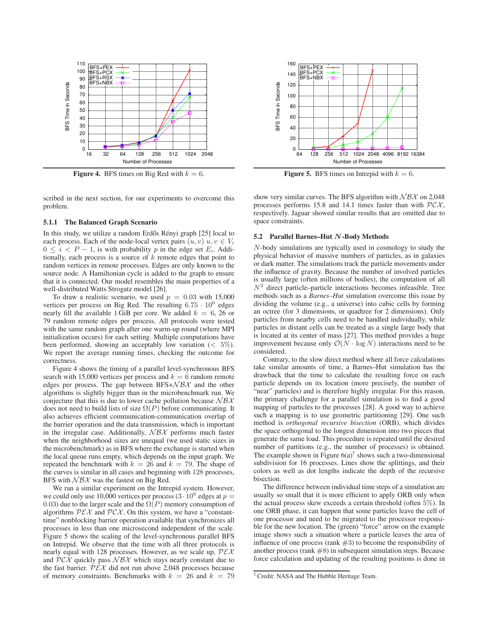

**Figure 4.** BFS times on Big Red with  $k = 6$ .

scribed in the next section, for our experiments to overcome this problem.

#### **5.1.1 The Balanced Graph Scenario**

In this study, we utilize a random Erdős Rényi graph [25] local to each process. Each of the node-local vertex pairs  $(u, v)$   $u, v \in V_i$  $0 \leq i \leq P-1$ , is with probability p in the edge set  $E_i$ . Additionally, each process is a source of  $k$  remote edges that point to random vertices in remote processes. Edges are only known to the source node. A Hamiltonian cycle is added to the graph to ensure that it is connected. Our model resembles the main properties of a well-distributed Watts Strogatz model [26].

To draw a realistic scenario, we used  $p = 0.03$  with 15,000 vertices per process on Big Red. The resulting  $6.75 \cdot 10^6$  edges nearly fill the available 1 GiB per core. We added  $k = 6, 26$  or 79 random remote edges per process. All protocols were tested with the same random graph after one warm-up round (where MPI initialization occurs) for each setting. Multiple computations have been performed, showing an acceptably low variation  $\left( \langle 5\% \rangle \right)$ . We report the average running times, checking the outcome for correctness.

Figure 4 shows the timing of a parallel level-synchronous BFS search with 15,000 vertices per process and  $k = 6$  random remote edges per process. The gap between  $BFS + \mathcal{N} \mathcal{B} \mathcal{X}$  and the other algorithms is slightly bigger than in the microbenchmark run. We conjecture that this is due to lower cache pollution because  $\mathcal{N} \mathcal{B} \mathcal{X}$ does not need to build lists of size  $\Omega(P)$  before communicating. It also achieves efficient communication-communication overlap of the barrier operation and the data transmission, which is important in the irregular case. Additionally,  $N\beta\chi$  performs much faster when the neighborhood sizes are unequal (we used static sizes in the microbenchmark) as in BFS where the exchange is started when the local queue runs empty, which depends on the input graph. We repeated the benchmark with  $k = 26$  and  $k = 79$ . The shape of the curves is similar in all cases and beginning with 128 processes, BFS with  $N\beta\chi$  was the fastest on Big Red.

We ran a similar experiment on the Intrepid system. However, we could only use 10,000 vertices per process  $(3 \cdot 10^6$  edges at  $p =$ 0.03) due to the larger scale and the  $\Omega(P)$  memory consumption of algorithms  $P\mathcal{E}\mathcal{X}$  and  $P\mathcal{C}\mathcal{X}$ . On this system, we have a "constanttime" nonblocking barrier operation available that synchronizes all processes in less than one microsecond independent of the scale. Figure 5 shows the scaling of the level-synchronous parallel BFS on Intrepid. We observe that the time with all three protocols is nearly equal with 128 processes. However, as we scale up,  $P\mathcal{E}\mathcal{X}$ and  $P\mathcal{C}\mathcal{X}$  quickly pass  $\mathcal{N}\mathcal{B}\mathcal{X}$  which stays nearly constant due to the fast barrier.  $PEX$  did not run above 2,048 processes because of memory constraints. Benchmarks with  $k = 26$  and  $k = 79$ 



**Figure 5.** BFS times on Intrepid with  $k = 6$ .

show very similar curves. The BFS algorithm with  $\mathcal{N} \mathcal{B} \mathcal{X}$  on 2,048 processes performs 15.8 and 14.1 times faster than with  $PCX$ , respectively. Jaguar showed similar results that are omitted due to space constraints.

## **5.2 Parallel Barnes–Hut** N**-Body Methods**

N-body simulations are typically used in cosmology to study the physical behavior of massive numbers of particles, as in galaxies or dark matter. The simulations track the particle movements under the influence of gravity. Because the number of involved particles is usually large (often millions of bodies), the computation of all  $N<sup>2</sup>$  direct particle–particle interactions becomes infeasible. Tree methods such as a *Barnes–Hut* simulation overcome this issue by dividing the volume (e.g., a universe) into cubic cells by forming an octree (for 3 dimensions, or quadtree for 2 dimensions). Only particles from nearby cells need to be handled individually, while particles in distant cells can be treated as a single large body that is located at its center of mass [27]. This method provides a huge improvement because only  $\mathcal{O}(N \cdot \log N)$  interactions need to be considered.

Contrary, to the slow direct method where all force calculations take similar amounts of time, a Barnes–Hut simulation has the drawback that the time to calculate the resulting force on each particle depends on its location (more precisely, the number of "near" particles) and is therefore highly irregular. For this reason, the primary challenge for a parallel simulation is to find a good mapping of particles to the processes [28]. A good way to achieve such a mapping is to use geometric partitioning [29]. One such method is *orthogonal recursive bisection* (ORB), which divides the space orthogonal to the longest dimension into two pieces that generate the same load. This procedure is repeated until the desired number of partitions (e.g., the number of processes) is obtained. The example shown in Figure  $6(a)^1$  shows such a two-dimensional subdivision for 16 processes. Lines show the splittings, and their colors as well as dot lengths indicate the depth of the recursive bisection.

The difference between individual time steps of a simulation are usually so small that it is more efficient to apply ORB only when the actual process skew exceeds a certain threshold (often 5%). In one ORB phase, it can happen that some particles leave the cell of one processor and need to be migrated to the processor responsible for the new location. The (green) "force" arrow on the example image shows such a situation where a particle leaves the area of influence of one process (rank  $#3$ ) to become the responsibility of another process (rank  $#8$ ) in subsequent simulation steps. Because force calculation and updating of the resulting positions is done in

<sup>&</sup>lt;sup>1</sup> Credit: NASA and The Hubble Heritage Team.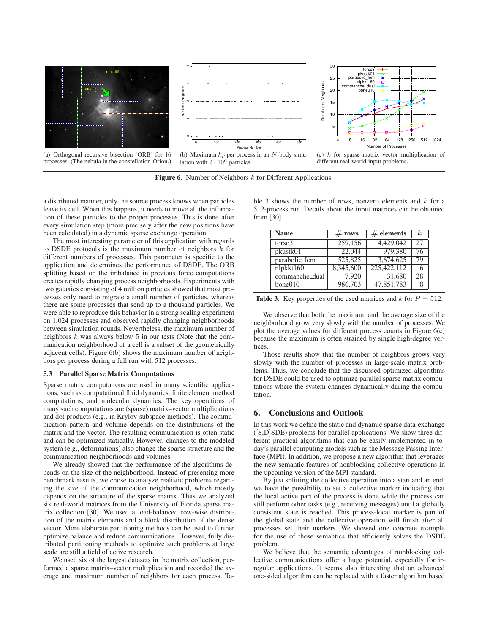

**Figure 6.** Number of Neighbors k for Different Applications.

a distributed manner, only the source process knows when particles leave its cell. When this happens, it needs to move all the information of these particles to the proper processes. This is done after every simulation step (more precisely after the new positions have been calculated) in a dynamic sparse exchange operation.

The most interesting parameter of this application with regards to DSDE protocols is the maximum number of neighbors  $k$  for different numbers of processes. This parameter is specific to the application and determines the performance of DSDE. The ORB splitting based on the imbalance in previous force computations creates rapidly changing process neighborhoods. Experiments with two galaxies consisting of 4 million particles showed that most processes only need to migrate a small number of particles, whereas there are some processes that send up to a thousand particles. We were able to reproduce this behavior in a strong scaling experiment on 1,024 processes and observed rapidly changing neighborhoods between simulation rounds. Nevertheless, the maximum number of neighbors  $k$  was always below  $5$  in our tests (Note that the communication neighborhood of a cell is a subset of the geometrically adjacent cells). Figure 6(b) shows the maximum number of neighbors per process during a full run with 512 processes.

#### **5.3 Parallel Sparse Matrix Computations**

Sparse matrix computations are used in many scientific applications, such as computational fluid dynamics, finite element method computations, and molecular dynamics. The key operations of many such computations are (sparse) matrix–vector multiplications and dot products (e.g., in Krylov-subspace methods). The communication pattern and volume depends on the distributions of the matrix and the vector. The resulting communication is often static and can be optimized statically. However, changes to the modeled system (e.g., deformations) also change the sparse structure and the communication neighborhoods and volumes.

We already showed that the performance of the algorithms depends on the size of the neighborhood. Instead of presenting more benchmark results, we chose to analyze realistic problems regarding the size of the communication neighborhood, which mostly depends on the structure of the sparse matrix. Thus we analyzed six real-world matrices from the University of Florida sparse matrix collection [30]. We used a load-balanced row-wise distribution of the matrix elements and a block distribution of the dense vector. More elaborate partitioning methods can be used to further optimize balance and reduce communications. However, fully distributed partitioning methods to optimize such problems at large scale are still a field of active research.

We used six of the largest datasets in the matrix collection, performed a sparse matrix–vector multiplication and recorded the average and maximum number of neighbors for each process. Table 3 shows the number of rows, nonzero elements and  $k$  for a 512-process run. Details about the input matrices can be obtained from [30].

| <b>Name</b>    | # rows    | $#$ elements | k. |
|----------------|-----------|--------------|----|
| torso3         | 259,156   | 4,429,042    | 27 |
| pkustk01       | 22,044    | 979,380      | 76 |
| parabolic_fem  | 525,825   | 3,674,625    | 79 |
| nlpkkt160      | 8,345,600 | 225,422,112  |    |
| commanche_dual | 7.920     | 31,680       | 28 |
| bone010        | 986,703   | 47,851,783   |    |

**Table 3.** Key properties of the used matrices and  $k$  for  $P = 512$ .

We observe that both the maximum and the average size of the neighborhood grow very slowly with the number of processes. We plot the average values for different process counts in Figure 6(c) because the maximum is often strained by single high-degree vertices.

Those results show that the number of neighbors grows very slowly with the number of processes in large-scale matrix problems. Thus, we conclude that the discussed optimized algorithms for DSDE could be used to optimize parallel sparse matrix computations where the system changes dynamically during the computation.

## **6. Conclusions and Outlook**

In this work we define the static and dynamic sparse data-exchange  $([S,D]SDE)$  problems for parallel applications. We show three different practical algorithms that can be easily implemented in today's parallel computing models such as the Message Passing Interface (MPI). In addition, we propose a new algorithm that leverages the new semantic features of nonblocking collective operations in the upcoming version of the MPI standard.

By just splitting the collective operation into a start and an end, we have the possibility to set a collective marker indicating that the local active part of the process is done while the process can still perform other tasks (e.g., receiving messages) until a globally consistent state is reached. This process-local marker is part of the global state and the collective operation will finish after all processes set their markers. We showed one concrete example for the use of those semantics that efficiently solves the DSDE problem.

We believe that the semantic advantages of nonblocking collective communications offer a huge potential, especially for irregular applications. It seems also interesting that an advanced one-sided algorithm can be replaced with a faster algorithm based